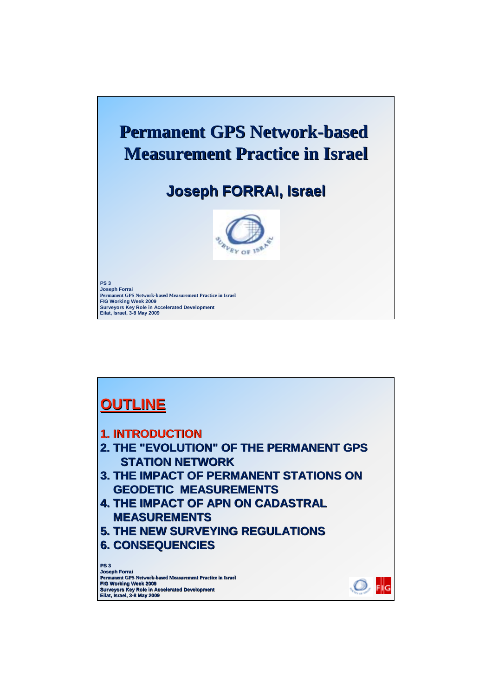

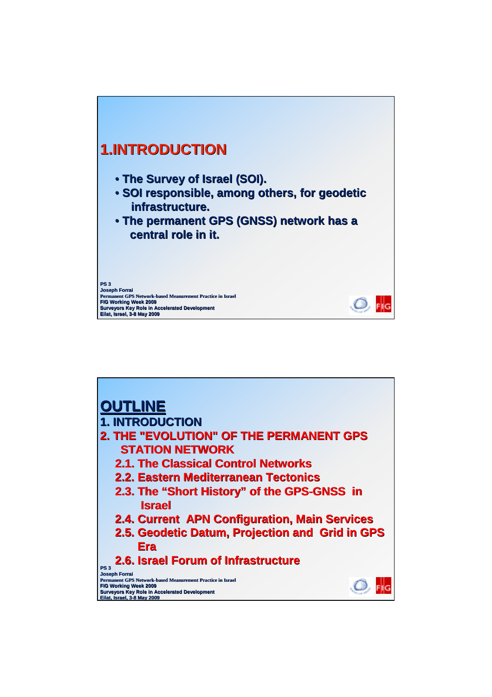

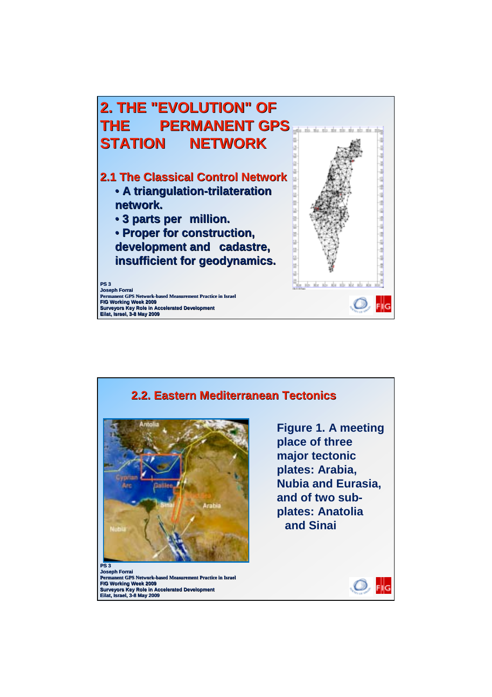

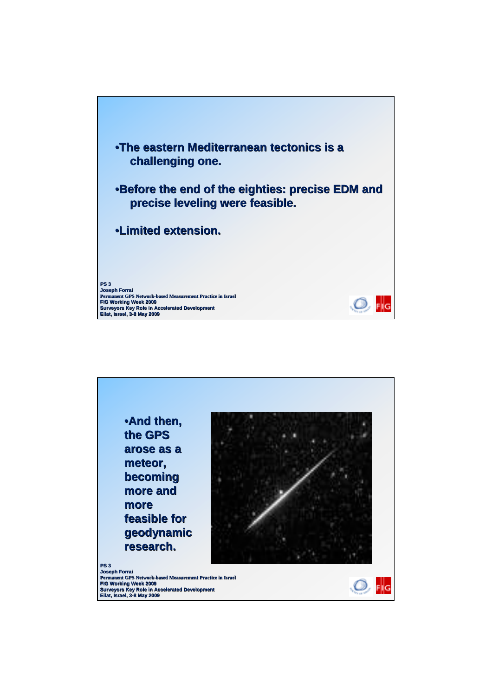

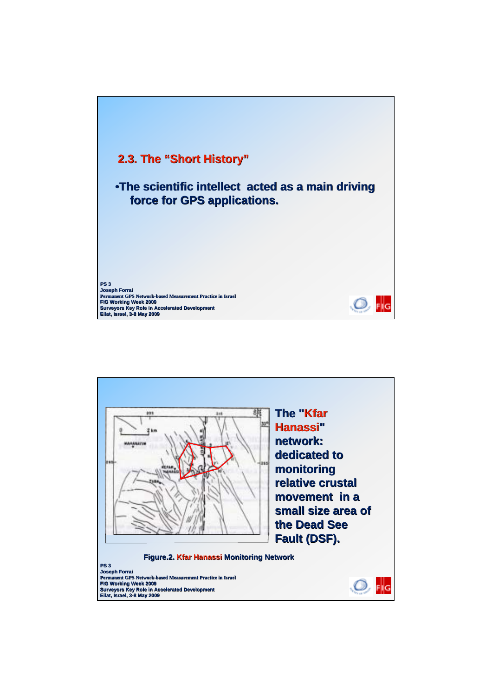

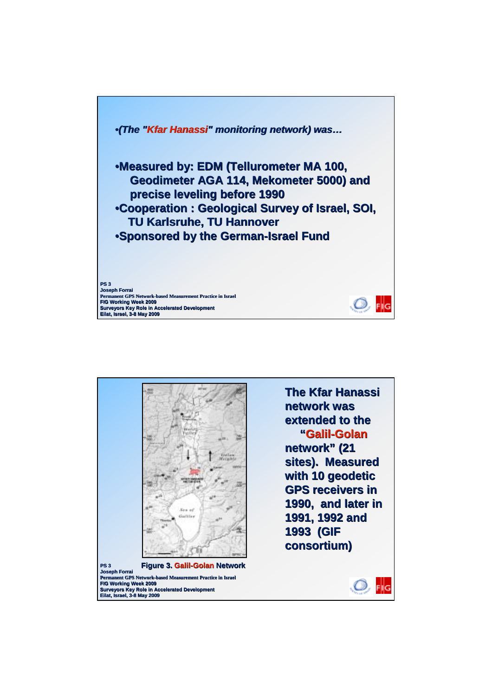

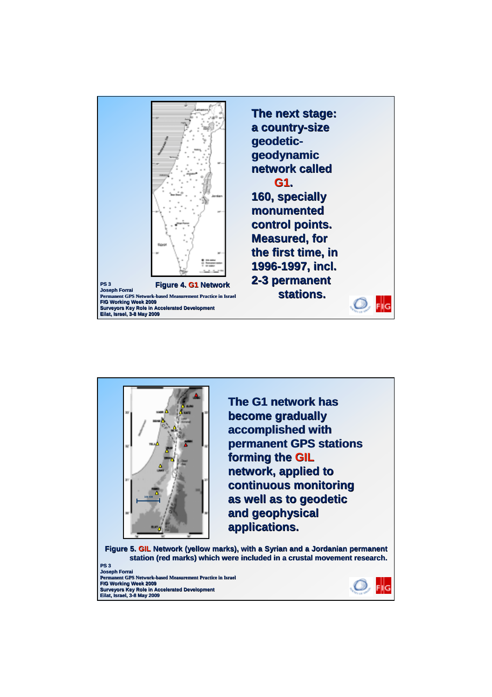

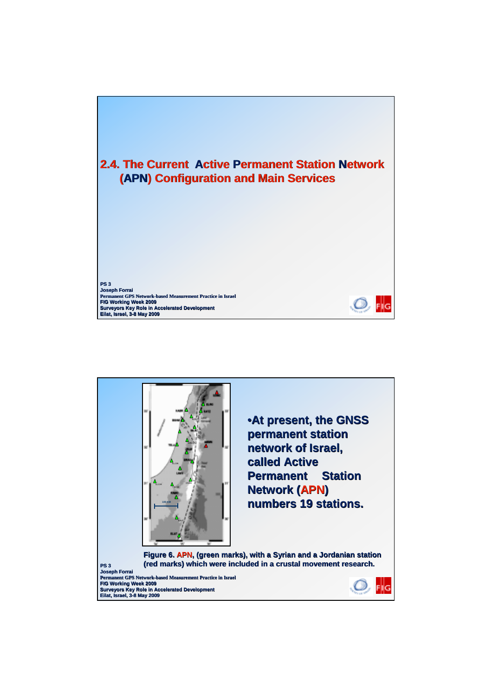

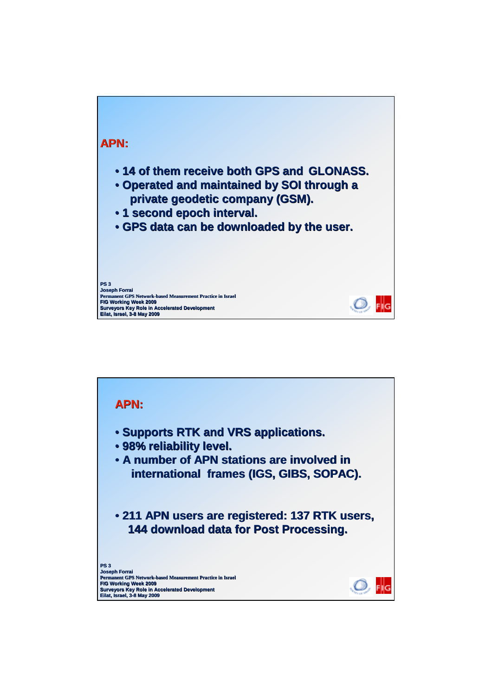

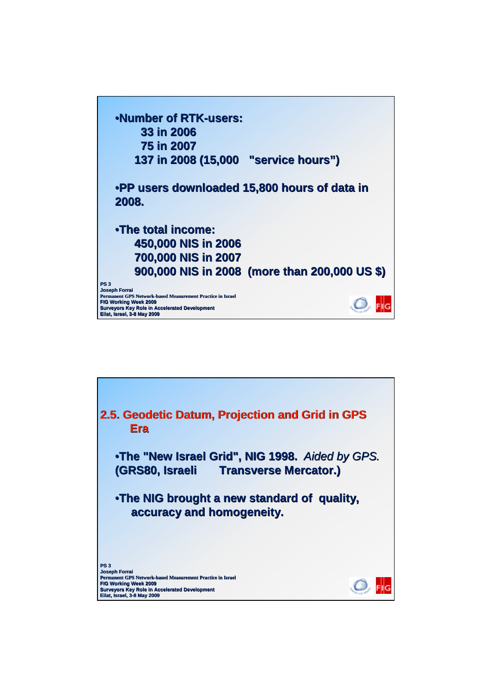

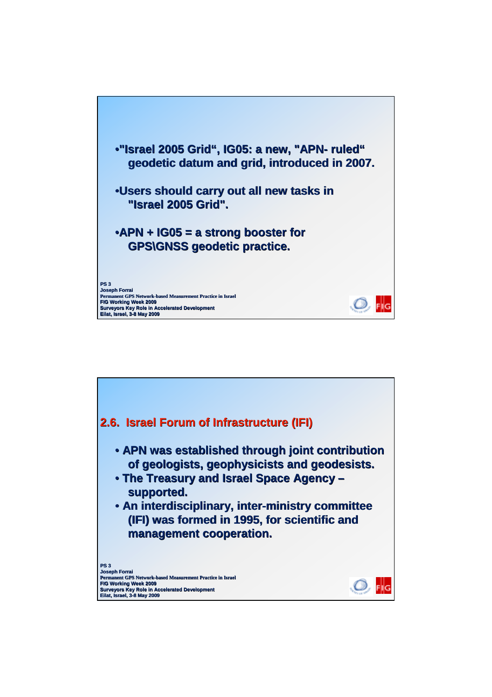

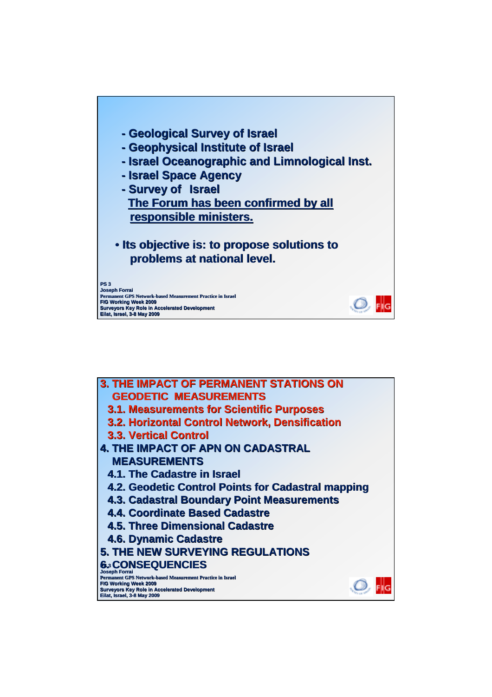

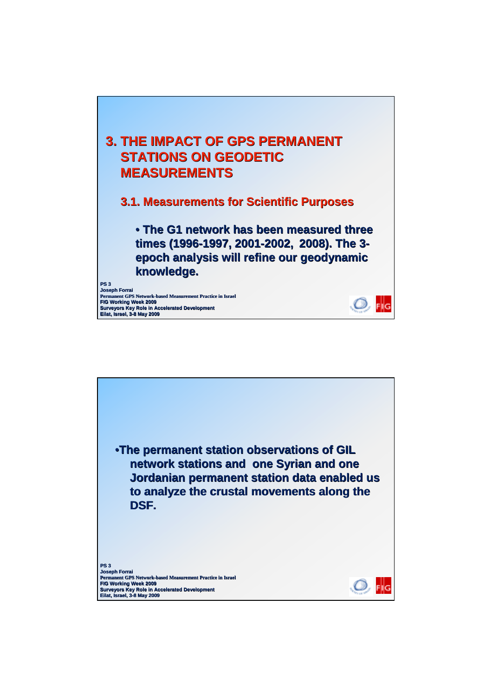

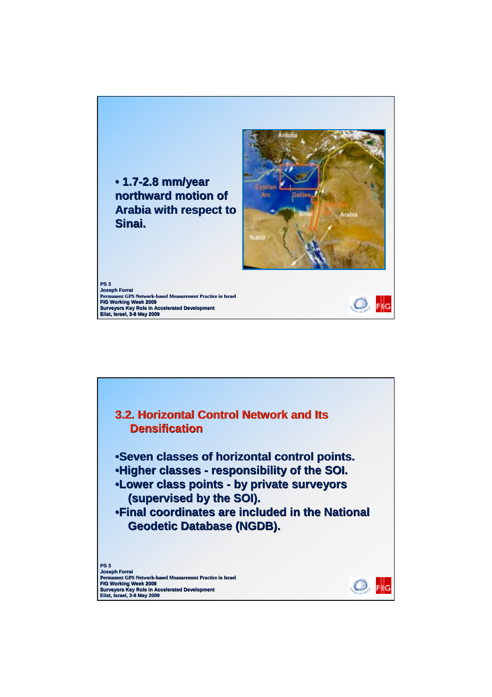

**Joseph Forrai Permanent GPS Network-based Measurement Practice in Israel FIG Working Week 2009 Surveyors Key Role in Accelerated Development Eilat, Israel, 3-8 May 2009**



Ö,

 $FIG$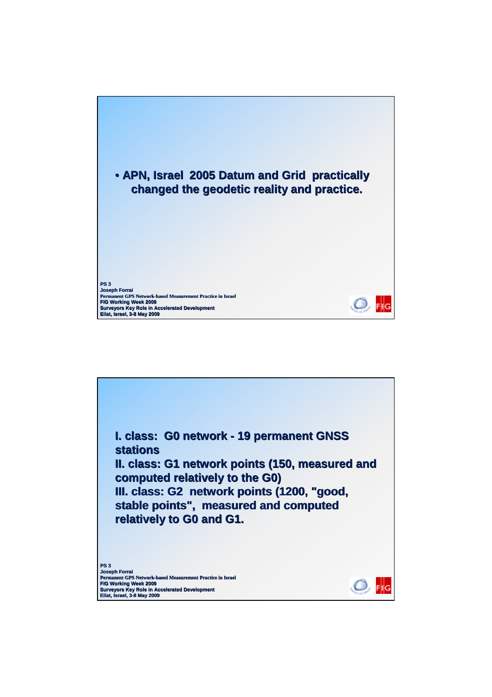

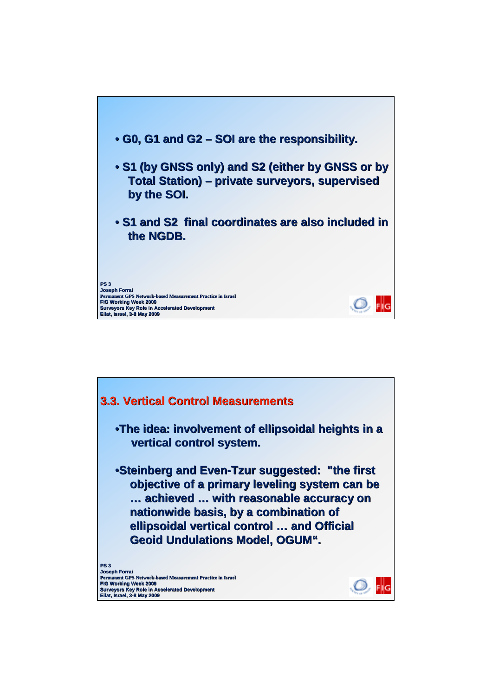

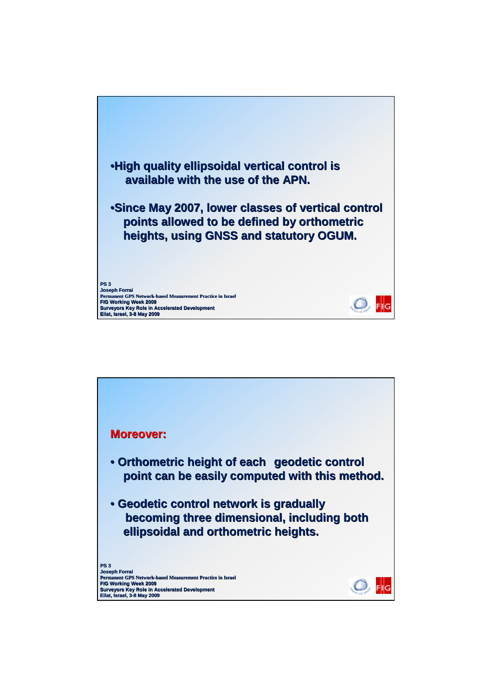

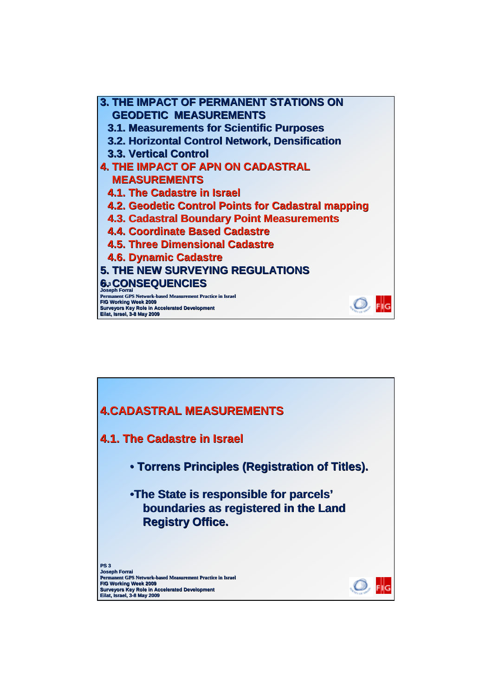**3. THE IMPACT OF PERMANENT STATIONS ON GEODETIC MEASUREMENTS 3.1. Measurements for Scientific Purposes 3.2. Horizontal Control Network, Densification 3.3. Vertical Control 3.3. Vertical Control 4. THE IMPACT OF APN ON CADASTRAL MEASUREMENTS 4.1. The Cadastre in Israel 4.1. The Cadastre in Israel 4.2. Geodetic Control Points for Cadastral mapping 4.3. Cadastral Boundary Point Measurements 4.4. Coordinate Based Cadastre 4.5. Three Dimensional Cadastre 4.6. Dynamic Cadastre 5. THE NEW SURVEYING REGULATIONS PS 3 6. CONSEQUENCIES 6. CONSEQUENCIES Joseph Forrai Permanent GPS Network-based Measurement Practice in Israel FIG Working Week 2009** Ö, FliG **Surveyors Key Role in Accelerated Development Eilat, Israel, 3-8 May 2009**

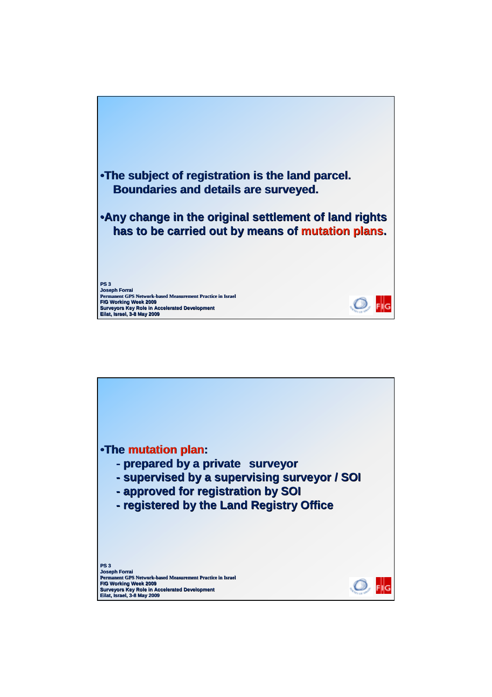

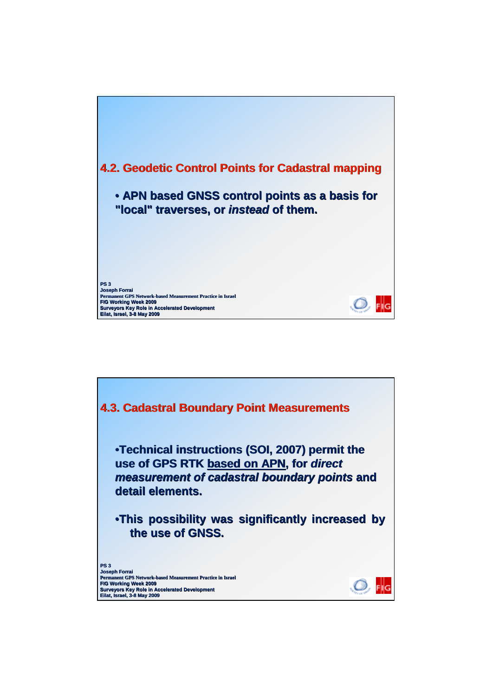

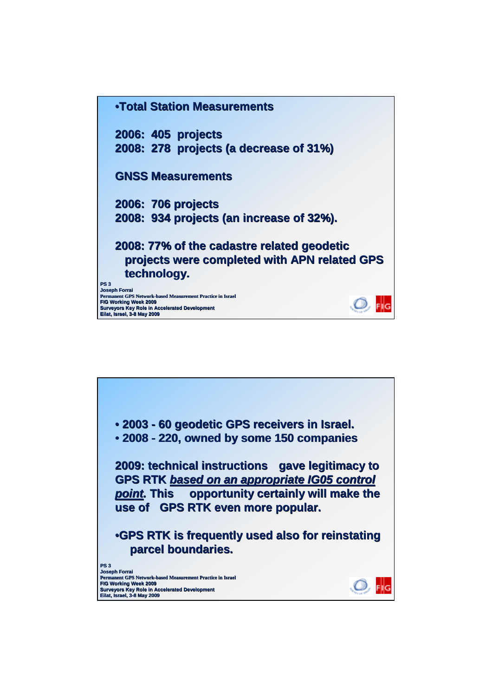

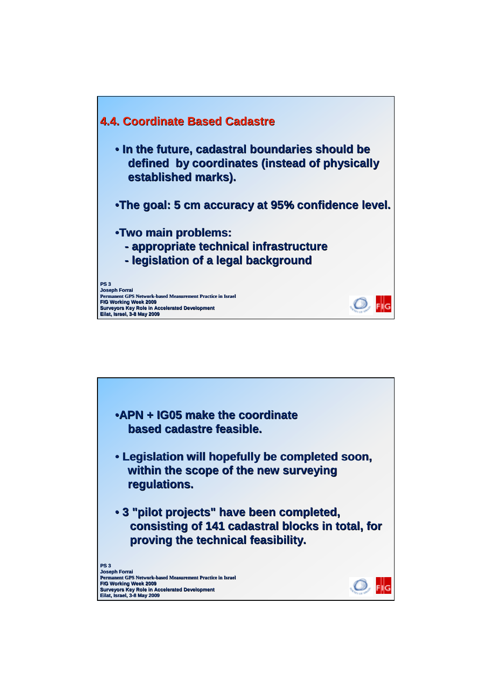

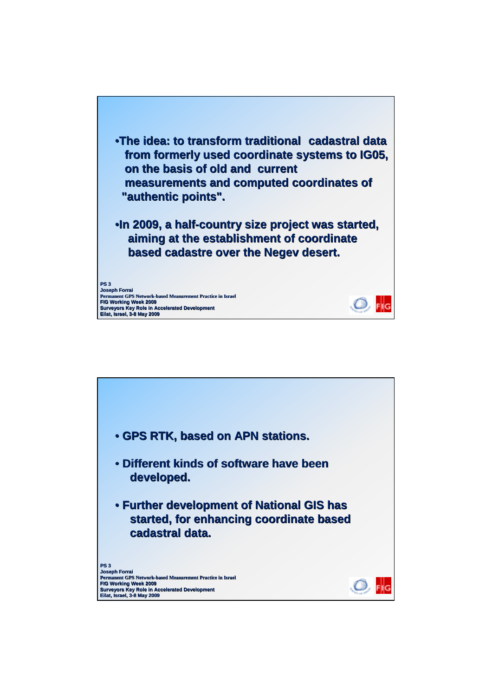

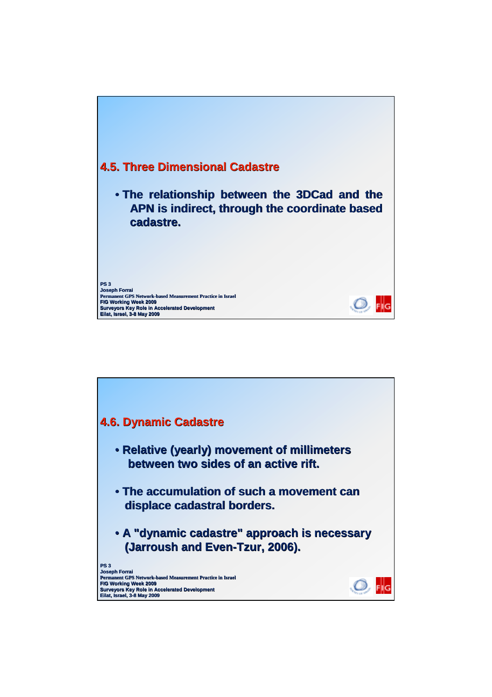

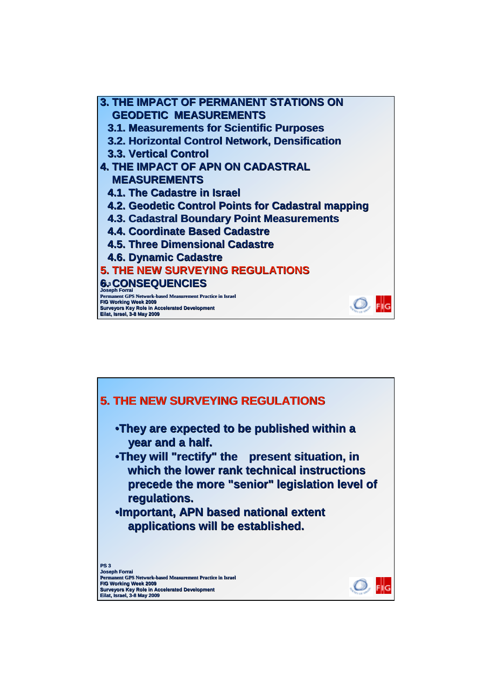**3. THE IMPACT OF PERMANENT STATIONS ON GEODETIC MEASUREMENTS 3.1. Measurements for Scientific Purposes 3.2. Horizontal Control Network, Densification 3.3. Vertical Control 3.3. Vertical Control 4. THE IMPACT OF APN ON CADASTRAL MEASUREMENTS 4.1. The Cadastre in Israel 4.1. The Cadastre in Israel 4.2. Geodetic Control Points for Cadastral mapping 4.3. Cadastral Boundary Point Measurements 4.4. Coordinate Based Cadastre 4.5. Three Dimensional Cadastre 4.6. Dynamic Cadastre 5. THE NEW SURVEYING REGULATIONS PS 3 6. CONSEQUENCIES 6. CONSEQUENCIES Joseph Forrai Permanent GPS Network-based Measurement Practice in Israel FIG Working Week 2009** Ö, FIG **Surveyors Key Role in Accelerated Development Eilat, Israel, 3-8 May 2009**

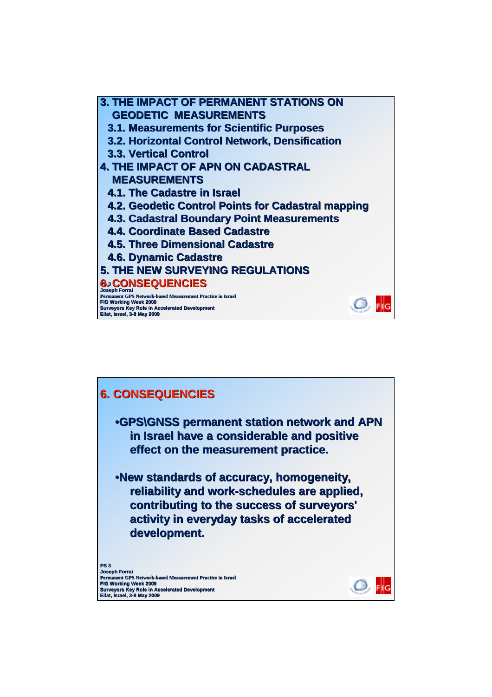**PS 3 6. CONSEQUENCIES 6. CONSEQUENCIES Joseph Forrai Permanent GPS Network-based Measurement Practice in Israel FIG Working Week 2009 Surveyors Key Role in Accelerated Development Eilat, Israel, 3-8 May 2009 3. THE IMPACT OF PERMANENT STATIONS ON GEODETIC MEASUREMENTS 3.1. Measurements for Scientific Purposes 3.2. Horizontal Control Network, Densification 3.3. Vertical Control 3.3. Vertical Control 4. THE IMPACT OF APN ON CADASTRAL MEASUREMENTS 4.1. The Cadastre in Israel 4.1. The Cadastre in Israel 4.2. Geodetic Control Points for Cadastral mapping 4.3. Cadastral Boundary Point Measurements 4.4. Coordinate Based Cadastre 4.5. Three Dimensional Cadastre 4.6. Dynamic Cadastre 5. THE NEW SURVEYING REGULATIONS**

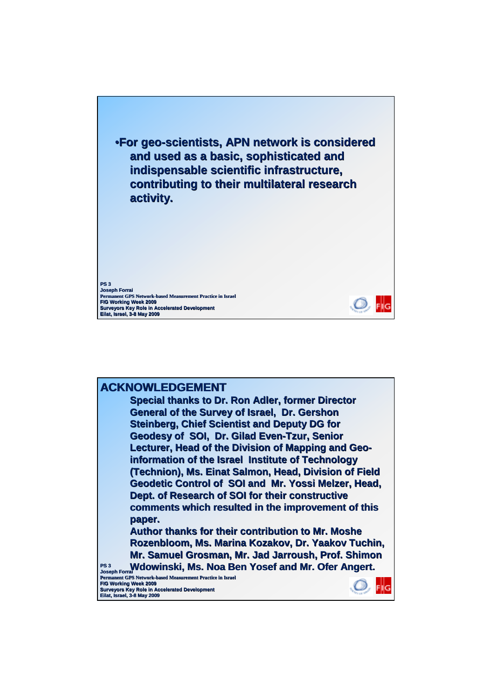

## **ACKNOWLEDGEMENT Special thanks to Dr. Ron Adler, former Director General of the Survey of Israel, Dr. Gershon Steinberg, Chief Scientist and Deputy DG for**

Geodesy of SOI, Dr. Gilad Even-Tzur, Senior **Lecturer, Head of the Division of Mapping and Geoinformation of the Israel Institute of Technology (Technion), Ms. Einat Salmon, Head, Division of Field (Technion), Ms. Einat Salmon, Head, Division of Field Geodetic Control of SOI and Mr. Yossi Melzer, Head, Dept. of Research of SOI for their constructive comments which resulted in the improvement of this comments which resulted in the improvement of this paper.** 

**Author thanks for their contribution to Mr. Moshe Rozenbloom, Ms. Marina Kozakov, Dr. Yaakov Tuchin, Mr. Samuel Grosman, Mr. Jad Jarroush, Prof. Shimon** 

**PS 3 Joseph Forrai Wdowinski, Ms. Noa Ben Yosef and Mr. Ofer Angert. Wdowinski, Ms. Noa Ben Yosef and Mr. Ofer Angert. Permanent GPS Network-based Measurement Practice in Israel FIG Working Week 2009**

**Surveyors Key Role in Accelerated Development Eilat, Israel, 3-8 May 2009**

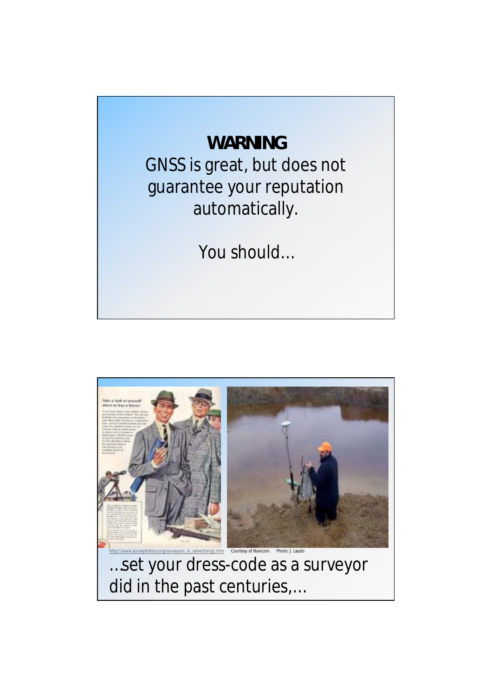## **WARNING**

GNSS is great, but does not guarantee your reputation automatically.

You should…



…set your dress-code as a surveyor did in the past centuries,…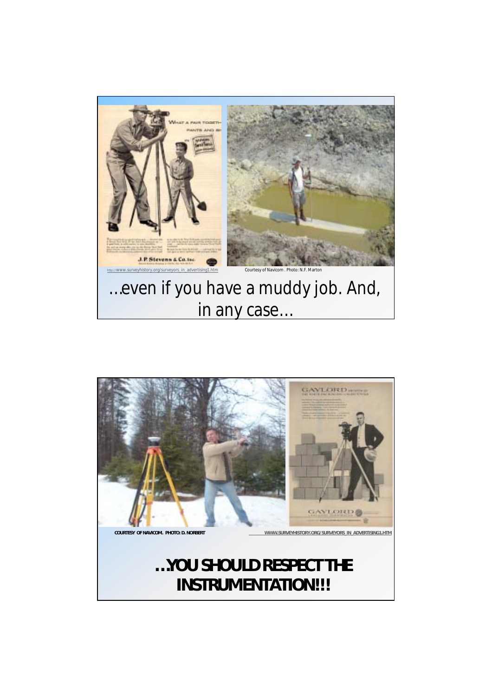



## **…YOU SHOULD RESPECT THE INSTRUMENTATION!!!**